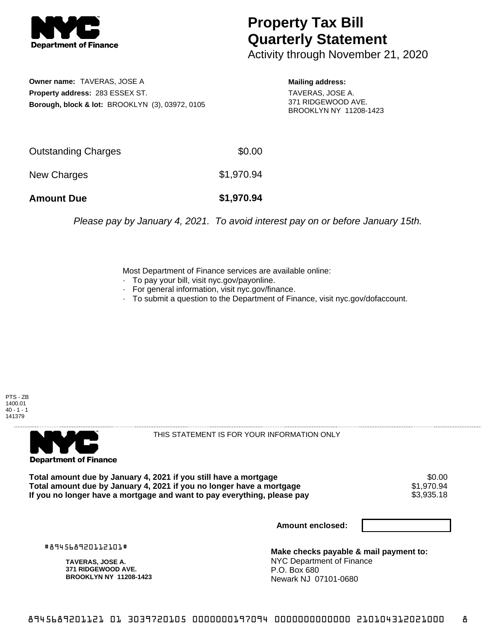

## **Property Tax Bill Quarterly Statement**

Activity through November 21, 2020

**Owner name:** TAVERAS, JOSE A **Property address:** 283 ESSEX ST. **Borough, block & lot:** BROOKLYN (3), 03972, 0105

**Mailing address:** TAVERAS, JOSE A.

371 RIDGEWOOD AVE. BROOKLYN NY 11208-1423

| <b>Amount Due</b>   | \$1,970.94 |
|---------------------|------------|
| New Charges         | \$1,970.94 |
| Outstanding Charges | \$0.00     |

Please pay by January 4, 2021. To avoid interest pay on or before January 15th.

Most Department of Finance services are available online:

- · To pay your bill, visit nyc.gov/payonline.
- For general information, visit nyc.gov/finance.
- · To submit a question to the Department of Finance, visit nyc.gov/dofaccount.

PTS - ZB 1400.01  $40 - 1 - 1$ 141379



THIS STATEMENT IS FOR YOUR INFORMATION ONLY

Total amount due by January 4, 2021 if you still have a mortgage \$0.00<br>Total amount due by January 4, 2021 if you no longer have a mortgage \$1.970.94 **Total amount due by January 4, 2021 if you no longer have a mortgage**  $$1,970.94$ **<br>If you no longer have a mortgage and want to pay everything, please pay**  $$3,935.18$ If you no longer have a mortgage and want to pay everything, please pay

**Amount enclosed:**

#894568920112101#

**TAVERAS, JOSE A. 371 RIDGEWOOD AVE. BROOKLYN NY 11208-1423**

**Make checks payable & mail payment to:** NYC Department of Finance P.O. Box 680 Newark NJ 07101-0680